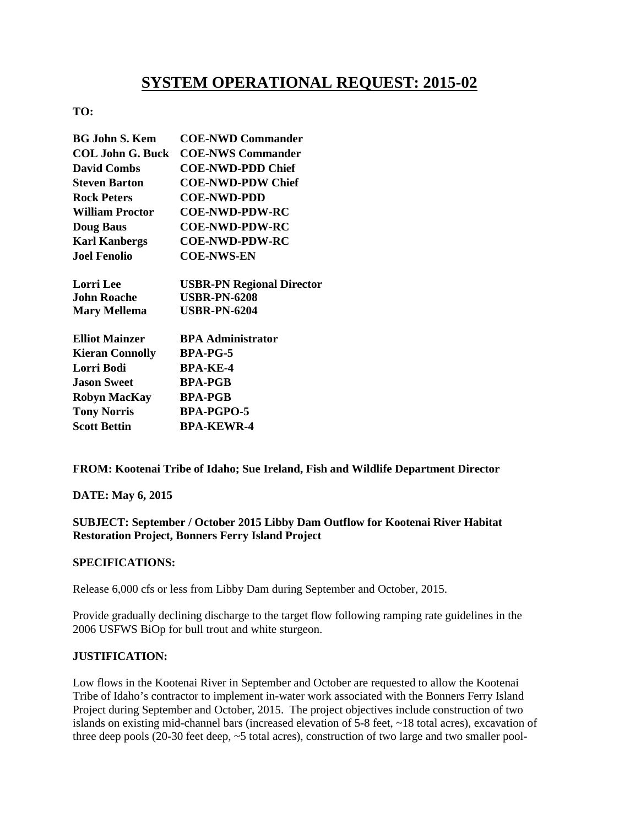# **SYSTEM OPERATIONAL REQUEST: 2015-02**

## **TO:**

| <b>BG John S. Kem</b>   | <b>COE-NWD Commander</b>         |
|-------------------------|----------------------------------|
| <b>COL John G. Buck</b> | <b>COE-NWS Commander</b>         |
| <b>David Combs</b>      | <b>COE-NWD-PDD Chief</b>         |
| <b>Steven Barton</b>    | <b>COE-NWD-PDW Chief</b>         |
| <b>Rock Peters</b>      | <b>COE-NWD-PDD</b>               |
| <b>William Proctor</b>  | <b>COE-NWD-PDW-RC</b>            |
| <b>Doug Baus</b>        | <b>COE-NWD-PDW-RC</b>            |
| <b>Karl Kanbergs</b>    | <b>COE-NWD-PDW-RC</b>            |
| <b>Joel Fenolio</b>     | <b>COE-NWS-EN</b>                |
| <b>Lorri</b> Lee        | <b>USBR-PN Regional Director</b> |
| John Roache             | <b>USBR-PN-6208</b>              |
| <b>Mary Mellema</b>     | <b>USBR-PN-6204</b>              |
| <b>Elliot Mainzer</b>   | <b>BPA Administrator</b>         |
| <b>Kieran Connolly</b>  | <b>BPA-PG-5</b>                  |
| Lorri Bodi              | <b>BPA-KE-4</b>                  |
| <b>Jason Sweet</b>      | <b>BPA-PGB</b>                   |
| <b>Robyn MacKay</b>     | <b>BPA-PGB</b>                   |
| <b>Tony Norris</b>      | <b>BPA-PGPO-5</b>                |
| <b>Scott Bettin</b>     | BPA-KEWR-4                       |

**FROM: Kootenai Tribe of Idaho; Sue Ireland, Fish and Wildlife Department Director** 

### **DATE: May 6, 2015**

### **SUBJECT: September / October 2015 Libby Dam Outflow for Kootenai River Habitat Restoration Project, Bonners Ferry Island Project**

### **SPECIFICATIONS:**

Release 6,000 cfs or less from Libby Dam during September and October, 2015.

Provide gradually declining discharge to the target flow following ramping rate guidelines in the 2006 USFWS BiOp for bull trout and white sturgeon.

### **JUSTIFICATION:**

Low flows in the Kootenai River in September and October are requested to allow the Kootenai Tribe of Idaho's contractor to implement in-water work associated with the Bonners Ferry Island Project during September and October, 2015. The project objectives include construction of two islands on existing mid-channel bars (increased elevation of 5-8 feet, ~18 total acres), excavation of three deep pools (20-30 feet deep, ~5 total acres), construction of two large and two smaller pool